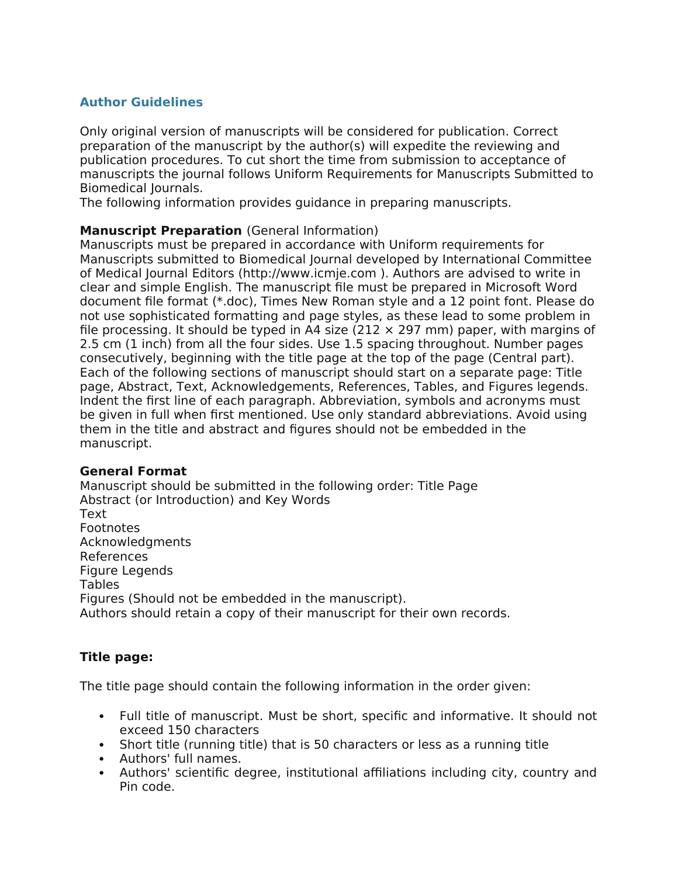# **Author Guidelines**

Only original version of manuscripts will be considered for publication. Correct preparation of the manuscript by the author(s) will expedite the reviewing and publication procedures. To cut short the time from submission to acceptance of manuscripts the journal follows Uniform Requirements for Manuscripts Submitted to Biomedical Journals.

The following information provides guidance in preparing manuscripts.

### **Manuscript Preparation** (General Information)

Manuscripts must be prepared in accordance with Uniform requirements for Manuscripts submitted to Biomedical Journal developed by International Committee of Medical Journal Editors (http://www.icmje.com ). Authors are advised to write in clear and simple English. The manuscript file must be prepared in Microsoft Word document file format (\*.doc), Times New Roman style and a 12 point font. Please do not use sophisticated formatting and page styles, as these lead to some problem in file processing. It should be typed in A4 size (212  $\times$  297 mm) paper, with margins of 2.5 cm (1 inch) from all the four sides. Use 1.5 spacing throughout. Number pages consecutively, beginning with the title page at the top of the page (Central part). Each of the following sections of manuscript should start on a separate page: Title page, Abstract, Text, Acknowledgements, References, Tables, and Figures legends. Indent the first line of each paragraph. Abbreviation, symbols and acronyms must be given in full when first mentioned. Use only standard abbreviations. Avoid using them in the title and abstract and figures should not be embedded in the manuscript.

### **General Format**

Manuscript should be submitted in the following order: Title Page Abstract (or Introduction) and Key Words Text Footnotes Acknowledgments References Figure Legends Tables Figures (Should not be embedded in the manuscript). Authors should retain a copy of their manuscript for their own records.

## **Title page:**

The title page should contain the following information in the order given:

- Full title of manuscript. Must be short, specific and informative. It should not exceed 150 characters
- Short title (running title) that is 50 characters or less as a running title
- Authors' full names.
- Authors' scientific degree, institutional affiliations including city, country and Pin code.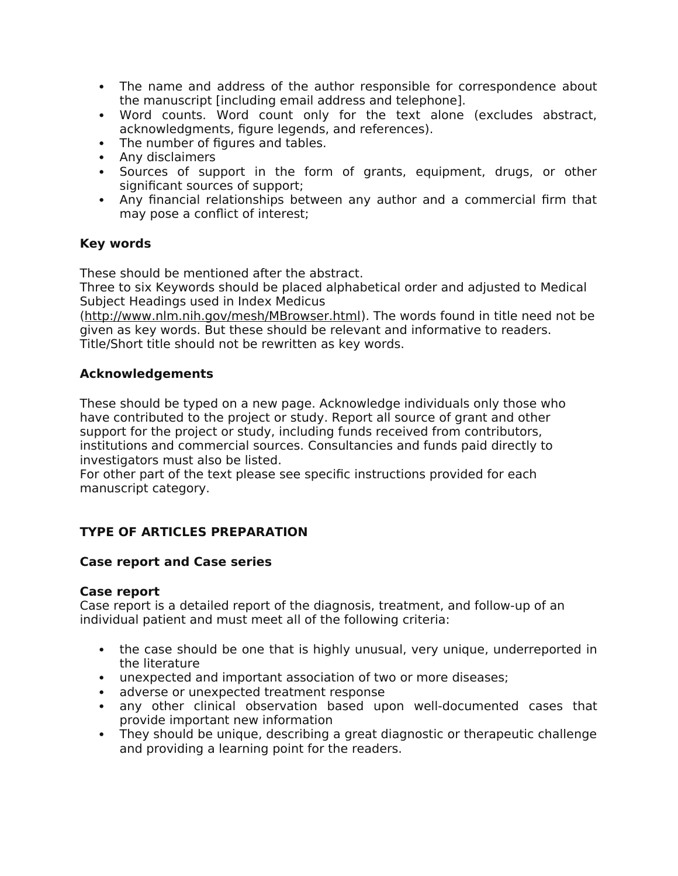- The name and address of the author responsible for correspondence about the manuscript [including email address and telephone].
- Word counts. Word count only for the text alone (excludes abstract, acknowledgments, figure legends, and references).
- The number of figures and tables.
- Any disclaimers
- Sources of support in the form of grants, equipment, drugs, or other significant sources of support;
- Any financial relationships between any author and a commercial firm that may pose a conflict of interest;

# **Key words**

These should be mentioned after the abstract.

Three to six Keywords should be placed alphabetical order and adjusted to Medical Subject Headings used in Index Medicus

(http://www.nlm.nih.gov/mesh/MBrowser.html). The words found in title need not be given as key words. But these should be relevant and informative to readers. Title/Short title should not be rewritten as key words.

## **Acknowledgements**

These should be typed on a new page. Acknowledge individuals only those who have contributed to the project or study. Report all source of grant and other support for the project or study, including funds received from contributors, institutions and commercial sources. Consultancies and funds paid directly to investigators must also be listed.

For other part of the text please see specific instructions provided for each manuscript category.

# **TYPE OF ARTICLES PREPARATION**

## **Case report and Case series**

### **Case report**

Case report is a detailed report of the diagnosis, treatment, and follow-up of an individual patient and must meet all of the following criteria:

- the case should be one that is highly unusual, very unique, underreported in the literature
- unexpected and important association of two or more diseases;
- adverse or unexpected treatment response
- any other clinical observation based upon well-documented cases that provide important new information
- They should be unique, describing a great diagnostic or therapeutic challenge and providing a learning point for the readers.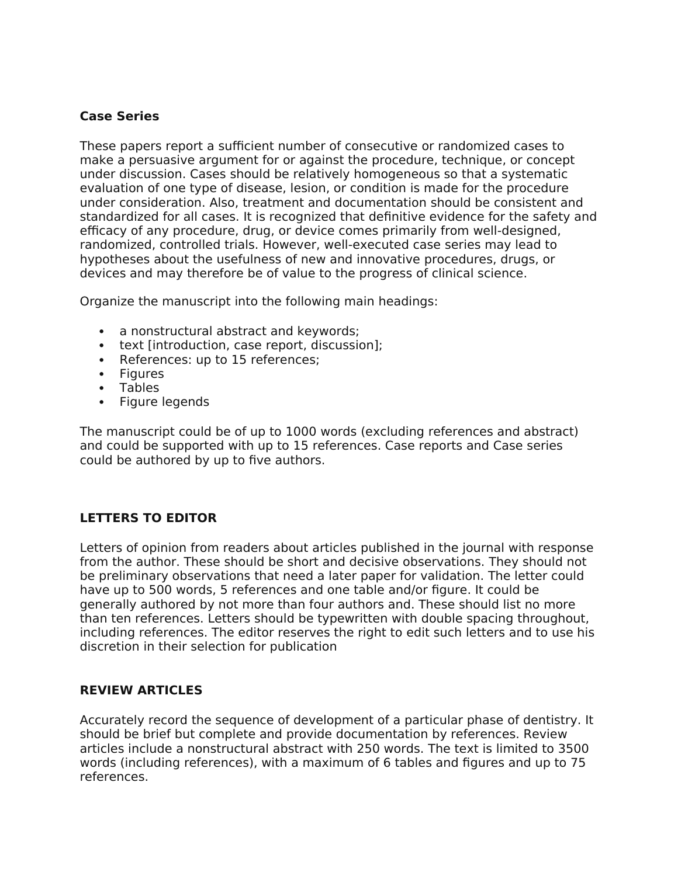## **Case Series**

These papers report a sufficient number of consecutive or randomized cases to make a persuasive argument for or against the procedure, technique, or concept under discussion. Cases should be relatively homogeneous so that a systematic evaluation of one type of disease, lesion, or condition is made for the procedure under consideration. Also, treatment and documentation should be consistent and standardized for all cases. It is recognized that definitive evidence for the safety and efficacy of any procedure, drug, or device comes primarily from well-designed, randomized, controlled trials. However, well-executed case series may lead to hypotheses about the usefulness of new and innovative procedures, drugs, or devices and may therefore be of value to the progress of clinical science.

Organize the manuscript into the following main headings:

- a nonstructural abstract and keywords;
- text [introduction, case report, discussion];
- References: up to 15 references;
- Figures
- Tables
- Figure legends

The manuscript could be of up to 1000 words (excluding references and abstract) and could be supported with up to 15 references. Case reports and Case series could be authored by up to five authors.

# **LETTERS TO EDITOR**

Letters of opinion from readers about articles published in the journal with response from the author. These should be short and decisive observations. They should not be preliminary observations that need a later paper for validation. The letter could have up to 500 words, 5 references and one table and/or figure. It could be generally authored by not more than four authors and. These should list no more than ten references. Letters should be typewritten with double spacing throughout, including references. The editor reserves the right to edit such letters and to use his discretion in their selection for publication

## **REVIEW ARTICLES**

Accurately record the sequence of development of a particular phase of dentistry. It should be brief but complete and provide documentation by references. Review articles include a nonstructural abstract with 250 words. The text is limited to 3500 words (including references), with a maximum of 6 tables and figures and up to 75 references.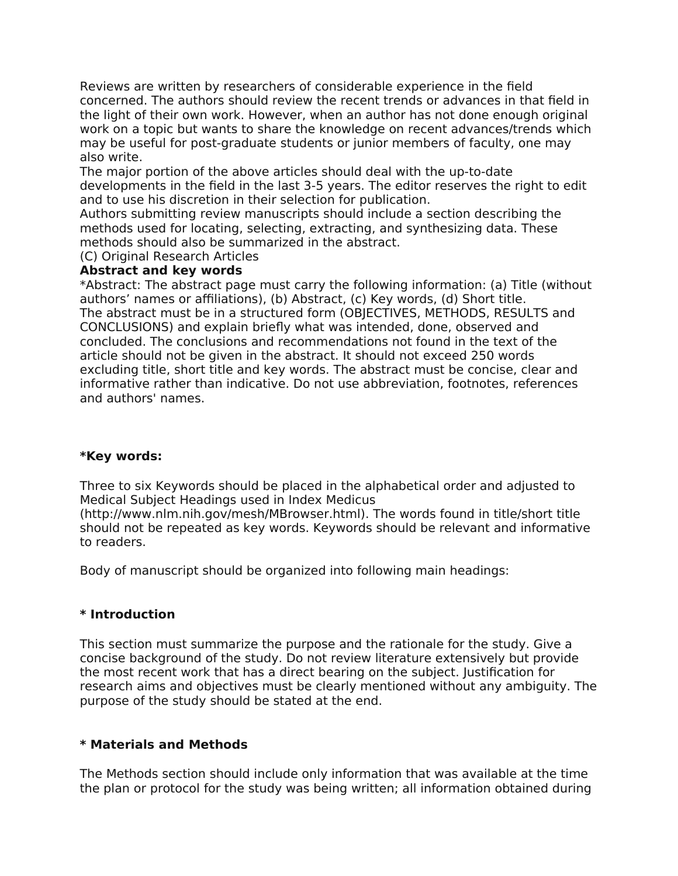Reviews are written by researchers of considerable experience in the field concerned. The authors should review the recent trends or advances in that field in the light of their own work. However, when an author has not done enough original work on a topic but wants to share the knowledge on recent advances/trends which may be useful for post-graduate students or junior members of faculty, one may also write.

The major portion of the above articles should deal with the up-to-date developments in the field in the last 3-5 years. The editor reserves the right to edit and to use his discretion in their selection for publication.

Authors submitting review manuscripts should include a section describing the methods used for locating, selecting, extracting, and synthesizing data. These methods should also be summarized in the abstract.

(C) Original Research Articles

### **Abstract and key words**

\*Abstract: The abstract page must carry the following information: (a) Title (without authors' names or affiliations), (b) Abstract, (c) Key words, (d) Short title. The abstract must be in a structured form (OBJECTIVES, METHODS, RESULTS and CONCLUSIONS) and explain briefly what was intended, done, observed and concluded. The conclusions and recommendations not found in the text of the article should not be given in the abstract. It should not exceed 250 words excluding title, short title and key words. The abstract must be concise, clear and informative rather than indicative. Do not use abbreviation, footnotes, references and authors' names.

### **\*Key words:**

Three to six Keywords should be placed in the alphabetical order and adjusted to Medical Subject Headings used in Index Medicus

(http://www.nlm.nih.gov/mesh/MBrowser.html). The words found in title/short title should not be repeated as key words. Keywords should be relevant and informative to readers.

Body of manuscript should be organized into following main headings:

### **\* Introduction**

This section must summarize the purpose and the rationale for the study. Give a concise background of the study. Do not review literature extensively but provide the most recent work that has a direct bearing on the subject. Justification for research aims and objectives must be clearly mentioned without any ambiguity. The purpose of the study should be stated at the end.

### **\* Materials and Methods**

The Methods section should include only information that was available at the time the plan or protocol for the study was being written; all information obtained during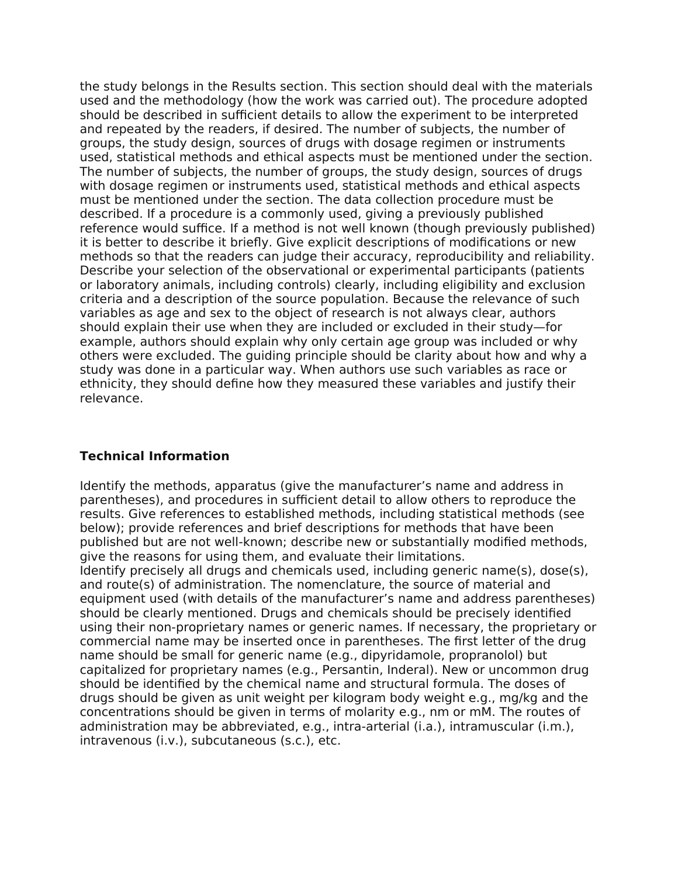the study belongs in the Results section. This section should deal with the materials used and the methodology (how the work was carried out). The procedure adopted should be described in sufficient details to allow the experiment to be interpreted and repeated by the readers, if desired. The number of subjects, the number of groups, the study design, sources of drugs with dosage regimen or instruments used, statistical methods and ethical aspects must be mentioned under the section. The number of subjects, the number of groups, the study design, sources of drugs with dosage regimen or instruments used, statistical methods and ethical aspects must be mentioned under the section. The data collection procedure must be described. If a procedure is a commonly used, giving a previously published reference would suffice. If a method is not well known (though previously published) it is better to describe it briefly. Give explicit descriptions of modifications or new methods so that the readers can judge their accuracy, reproducibility and reliability. Describe your selection of the observational or experimental participants (patients or laboratory animals, including controls) clearly, including eligibility and exclusion criteria and a description of the source population. Because the relevance of such variables as age and sex to the object of research is not always clear, authors should explain their use when they are included or excluded in their study—for example, authors should explain why only certain age group was included or why others were excluded. The guiding principle should be clarity about how and why a study was done in a particular way. When authors use such variables as race or ethnicity, they should define how they measured these variables and justify their relevance.

## **Technical Information**

Identify the methods, apparatus (give the manufacturer's name and address in parentheses), and procedures in sufficient detail to allow others to reproduce the results. Give references to established methods, including statistical methods (see below); provide references and brief descriptions for methods that have been published but are not well-known; describe new or substantially modified methods, give the reasons for using them, and evaluate their limitations.

Identify precisely all drugs and chemicals used, including generic name(s), dose(s), and route(s) of administration. The nomenclature, the source of material and equipment used (with details of the manufacturer's name and address parentheses) should be clearly mentioned. Drugs and chemicals should be precisely identified using their non-proprietary names or generic names. If necessary, the proprietary or commercial name may be inserted once in parentheses. The first letter of the drug name should be small for generic name (e.g., dipyridamole, propranolol) but capitalized for proprietary names (e.g., Persantin, Inderal). New or uncommon drug should be identified by the chemical name and structural formula. The doses of drugs should be given as unit weight per kilogram body weight e.g., mg/kg and the concentrations should be given in terms of molarity e.g., nm or mM. The routes of administration may be abbreviated, e.g., intra-arterial (i.a.), intramuscular (i.m.), intravenous (i.v.), subcutaneous (s.c.), etc.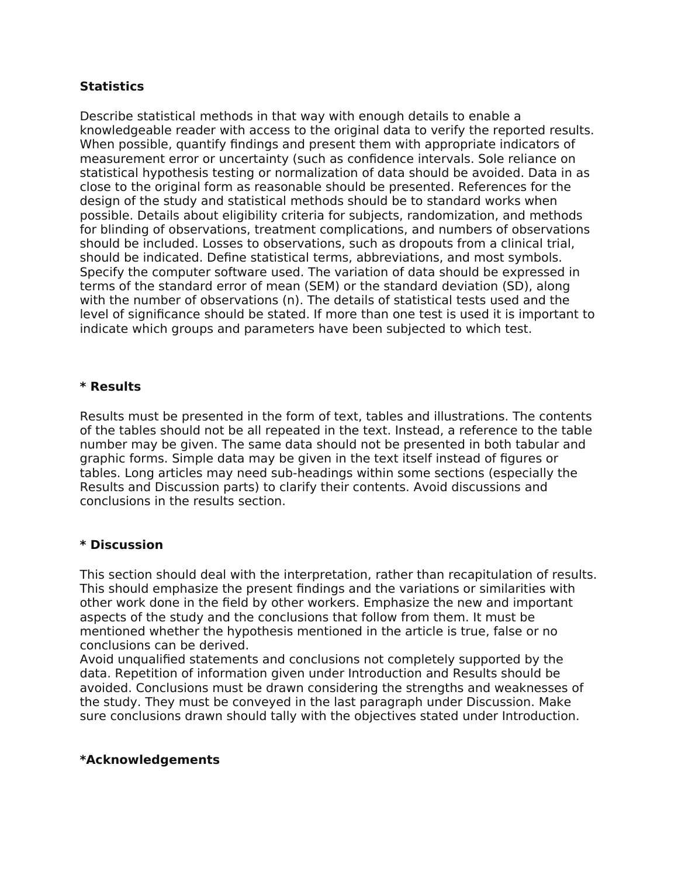## **Statistics**

Describe statistical methods in that way with enough details to enable a knowledgeable reader with access to the original data to verify the reported results. When possible, quantify findings and present them with appropriate indicators of measurement error or uncertainty (such as confidence intervals. Sole reliance on statistical hypothesis testing or normalization of data should be avoided. Data in as close to the original form as reasonable should be presented. References for the design of the study and statistical methods should be to standard works when possible. Details about eligibility criteria for subjects, randomization, and methods for blinding of observations, treatment complications, and numbers of observations should be included. Losses to observations, such as dropouts from a clinical trial, should be indicated. Define statistical terms, abbreviations, and most symbols. Specify the computer software used. The variation of data should be expressed in terms of the standard error of mean (SEM) or the standard deviation (SD), along with the number of observations (n). The details of statistical tests used and the level of significance should be stated. If more than one test is used it is important to indicate which groups and parameters have been subjected to which test.

## **\* Results**

Results must be presented in the form of text, tables and illustrations. The contents of the tables should not be all repeated in the text. Instead, a reference to the table number may be given. The same data should not be presented in both tabular and graphic forms. Simple data may be given in the text itself instead of figures or tables. Long articles may need sub-headings within some sections (especially the Results and Discussion parts) to clarify their contents. Avoid discussions and conclusions in the results section.

## **\* Discussion**

This section should deal with the interpretation, rather than recapitulation of results. This should emphasize the present findings and the variations or similarities with other work done in the field by other workers. Emphasize the new and important aspects of the study and the conclusions that follow from them. It must be mentioned whether the hypothesis mentioned in the article is true, false or no conclusions can be derived.

Avoid unqualified statements and conclusions not completely supported by the data. Repetition of information given under Introduction and Results should be avoided. Conclusions must be drawn considering the strengths and weaknesses of the study. They must be conveyed in the last paragraph under Discussion. Make sure conclusions drawn should tally with the objectives stated under Introduction.

### **\*Acknowledgements**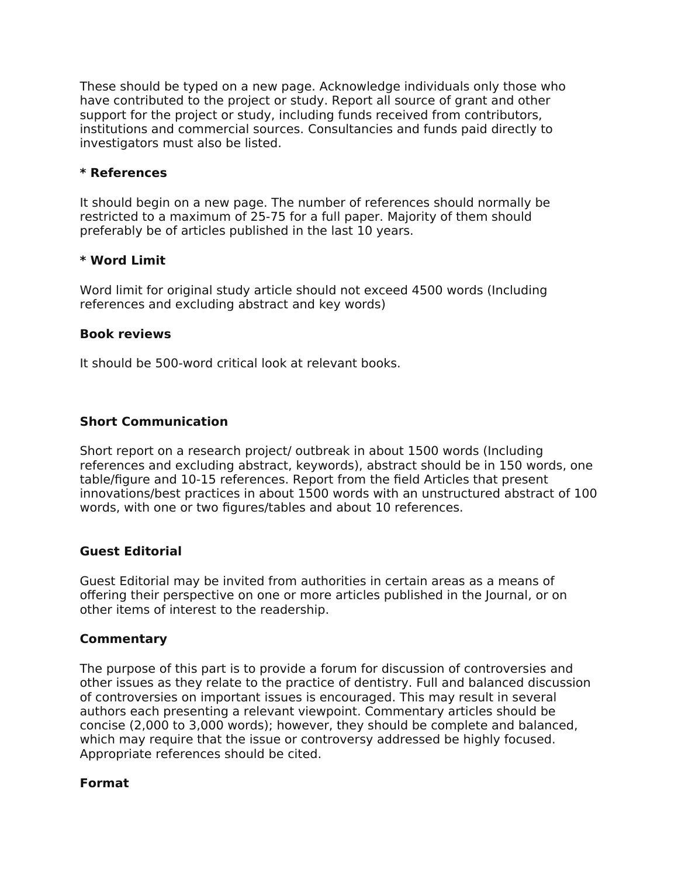These should be typed on a new page. Acknowledge individuals only those who have contributed to the project or study. Report all source of grant and other support for the project or study, including funds received from contributors, institutions and commercial sources. Consultancies and funds paid directly to investigators must also be listed.

### **\* References**

It should begin on a new page. The number of references should normally be restricted to a maximum of 25-75 for a full paper. Majority of them should preferably be of articles published in the last 10 years.

### **\* Word Limit**

Word limit for original study article should not exceed 4500 words (Including references and excluding abstract and key words)

### **Book reviews**

It should be 500-word critical look at relevant books.

## **Short Communication**

Short report on a research project/ outbreak in about 1500 words (Including references and excluding abstract, keywords), abstract should be in 150 words, one table/figure and 10-15 references. Report from the field Articles that present innovations/best practices in about 1500 words with an unstructured abstract of 100 words, with one or two figures/tables and about 10 references.

### **Guest Editorial**

Guest Editorial may be invited from authorities in certain areas as a means of offering their perspective on one or more articles published in the Journal, or on other items of interest to the readership.

### **Commentary**

The purpose of this part is to provide a forum for discussion of controversies and other issues as they relate to the practice of dentistry. Full and balanced discussion of controversies on important issues is encouraged. This may result in several authors each presenting a relevant viewpoint. Commentary articles should be concise (2,000 to 3,000 words); however, they should be complete and balanced, which may require that the issue or controversy addressed be highly focused. Appropriate references should be cited.

### **Format**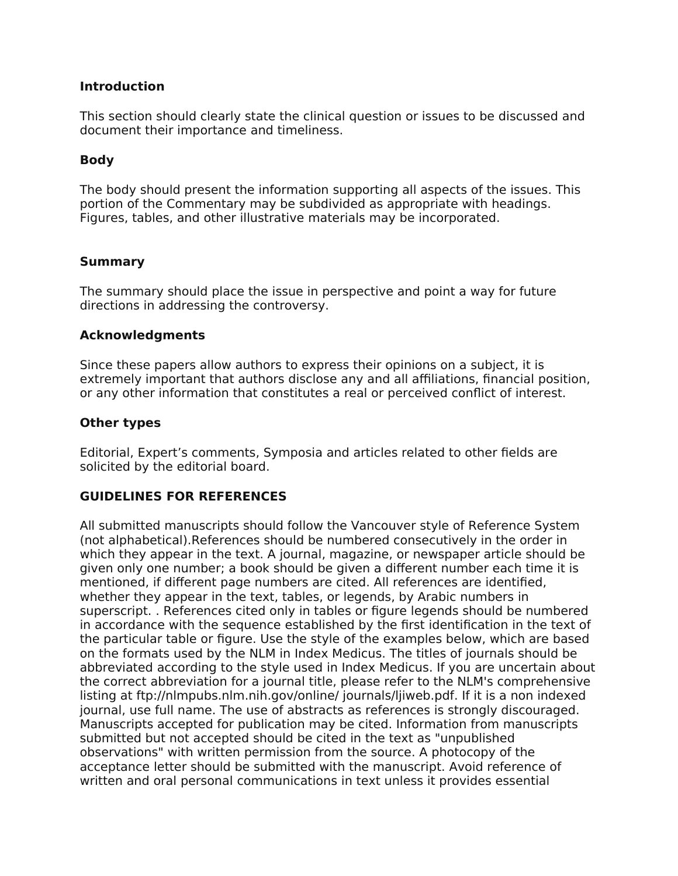### **Introduction**

This section should clearly state the clinical question or issues to be discussed and document their importance and timeliness.

### **Body**

The body should present the information supporting all aspects of the issues. This portion of the Commentary may be subdivided as appropriate with headings. Figures, tables, and other illustrative materials may be incorporated.

### **Summary**

The summary should place the issue in perspective and point a way for future directions in addressing the controversy.

### **Acknowledgments**

Since these papers allow authors to express their opinions on a subject, it is extremely important that authors disclose any and all affiliations, financial position, or any other information that constitutes a real or perceived conflict of interest.

### **Other types**

Editorial, Expert's comments, Symposia and articles related to other fields are solicited by the editorial board.

## **GUIDELINES FOR REFERENCES**

All submitted manuscripts should follow the Vancouver style of Reference System (not alphabetical).References should be numbered consecutively in the order in which they appear in the text. A journal, magazine, or newspaper article should be given only one number; a book should be given a different number each time it is mentioned, if different page numbers are cited. All references are identified, whether they appear in the text, tables, or legends, by Arabic numbers in superscript. . References cited only in tables or figure legends should be numbered in accordance with the sequence established by the first identification in the text of the particular table or figure. Use the style of the examples below, which are based on the formats used by the NLM in Index Medicus. The titles of journals should be abbreviated according to the style used in Index Medicus. If you are uncertain about the correct abbreviation for a journal title, please refer to the NLM's comprehensive listing at ftp://nlmpubs.nlm.nih.gov/online/ journals/ljiweb.pdf. If it is a non indexed journal, use full name. The use of abstracts as references is strongly discouraged. Manuscripts accepted for publication may be cited. Information from manuscripts submitted but not accepted should be cited in the text as "unpublished observations" with written permission from the source. A photocopy of the acceptance letter should be submitted with the manuscript. Avoid reference of written and oral personal communications in text unless it provides essential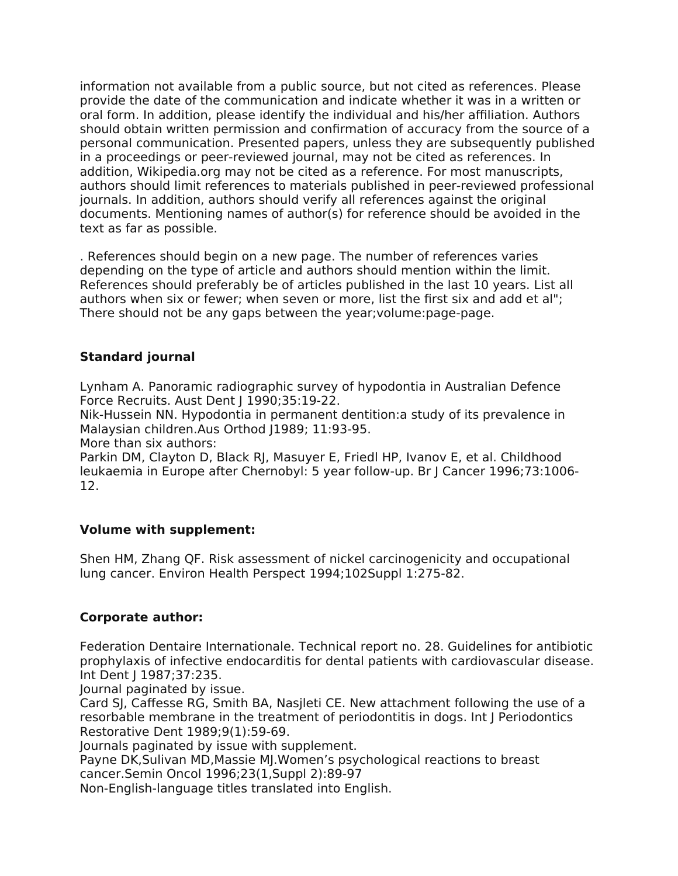information not available from a public source, but not cited as references. Please provide the date of the communication and indicate whether it was in a written or oral form. In addition, please identify the individual and his/her affiliation. Authors should obtain written permission and confirmation of accuracy from the source of a personal communication. Presented papers, unless they are subsequently published in a proceedings or peer-reviewed journal, may not be cited as references. In addition, Wikipedia.org may not be cited as a reference. For most manuscripts, authors should limit references to materials published in peer-reviewed professional journals. In addition, authors should verify all references against the original documents. Mentioning names of author(s) for reference should be avoided in the text as far as possible.

. References should begin on a new page. The number of references varies depending on the type of article and authors should mention within the limit. References should preferably be of articles published in the last 10 years. List all authors when six or fewer; when seven or more, list the first six and add et al"; There should not be any gaps between the year;volume:page-page.

## **Standard journal**

Lynham A. Panoramic radiographic survey of hypodontia in Australian Defence Force Recruits. Aust Dent | 1990;35:19-22.

Nik-Hussein NN. Hypodontia in permanent dentition:a study of its prevalence in Malaysian children.Aus Orthod (1989; 11:93-95.

More than six authors:

Parkin DM, Clayton D, Black RJ, Masuyer E, Friedl HP, Ivanov E, et al. Childhood leukaemia in Europe after Chernobyl: 5 year follow-up. Br J Cancer 1996;73:1006- 12.

## **Volume with supplement:**

Shen HM, Zhang QF. Risk assessment of nickel carcinogenicity and occupational lung cancer. Environ Health Perspect 1994;102Suppl 1:275-82.

## **Corporate author:**

Federation Dentaire Internationale. Technical report no. 28. Guidelines for antibiotic prophylaxis of infective endocarditis for dental patients with cardiovascular disease. Int Dent J 1987;37:235.

Journal paginated by issue.

Card SJ, Caffesse RG, Smith BA, Nasjleti CE. New attachment following the use of a resorbable membrane in the treatment of periodontitis in dogs. Int J Periodontics Restorative Dent 1989;9(1):59-69.

Journals paginated by issue with supplement.

Payne DK,Sulivan MD,Massie MJ.Women's psychological reactions to breast cancer.Semin Oncol 1996;23(1,Suppl 2):89-97

Non-English-language titles translated into English.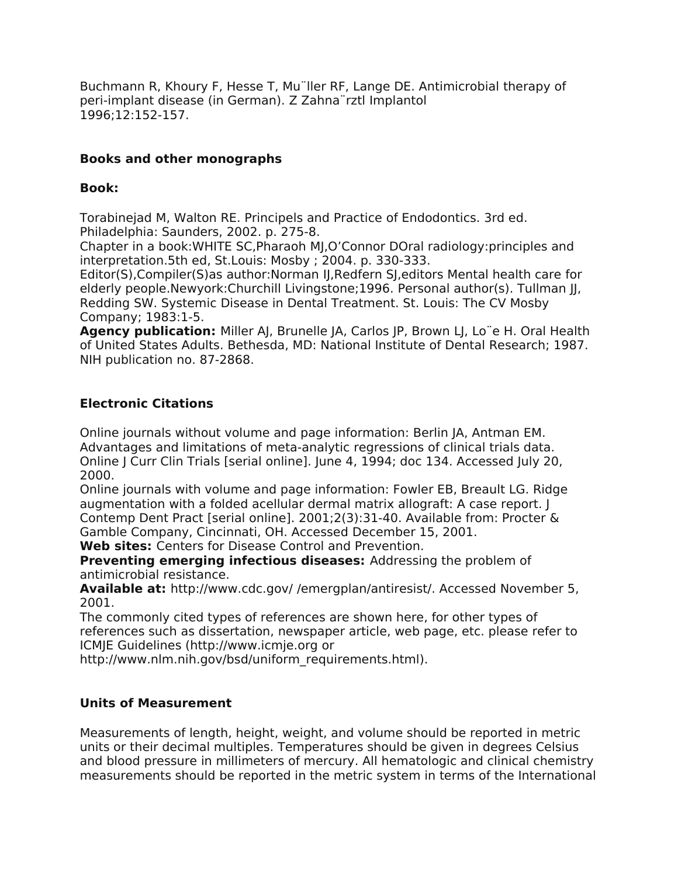Buchmann R, Khoury F, Hesse T, Mu¨ller RF, Lange DE. Antimicrobial therapy of peri-implant disease (in German). Z Zahna¨rztl Implantol 1996;12:152-157.

# **Books and other monographs**

### **Book:**

Torabinejad M, Walton RE. Principels and Practice of Endodontics. 3rd ed. Philadelphia: Saunders, 2002. p. 275-8.

Chapter in a book:WHITE SC,Pharaoh MJ,O'Connor DOral radiology:principles and interpretation.5th ed, St.Louis: Mosby ; 2004. p. 330-333.

Editor(S),Compiler(S)as author:Norman IJ,Redfern SJ,editors Mental health care for elderly people.Newyork:Churchill Livingstone;1996. Personal author(s). Tullman JJ, Redding SW. Systemic Disease in Dental Treatment. St. Louis: The CV Mosby Company; 1983:1-5.

**Agency publication:** Miller AJ, Brunelle JA, Carlos JP, Brown LJ, Lo¨e H. Oral Health of United States Adults. Bethesda, MD: National Institute of Dental Research; 1987. NIH publication no. 87-2868.

## **Electronic Citations**

Online journals without volume and page information: Berlin JA, Antman EM. Advantages and limitations of meta-analytic regressions of clinical trials data. Online J Curr Clin Trials [serial online]. June 4, 1994; doc 134. Accessed July 20, 2000.

Online journals with volume and page information: Fowler EB, Breault LG. Ridge augmentation with a folded acellular dermal matrix allograft: A case report. J Contemp Dent Pract [serial online]. 2001;2(3):31-40. Available from: Procter & Gamble Company, Cincinnati, OH. Accessed December 15, 2001.

**Web sites:** Centers for Disease Control and Prevention.

**Preventing emerging infectious diseases:** Addressing the problem of antimicrobial resistance.

**Available at:** http://www.cdc.gov/ /emergplan/antiresist/. Accessed November 5, 2001.

The commonly cited types of references are shown here, for other types of references such as dissertation, newspaper article, web page, etc. please refer to ICMJE Guidelines (http://www.icmje.org or

http://www.nlm.nih.gov/bsd/uniform\_requirements.html).

# **Units of Measurement**

Measurements of length, height, weight, and volume should be reported in metric units or their decimal multiples. Temperatures should be given in degrees Celsius and blood pressure in millimeters of mercury. All hematologic and clinical chemistry measurements should be reported in the metric system in terms of the International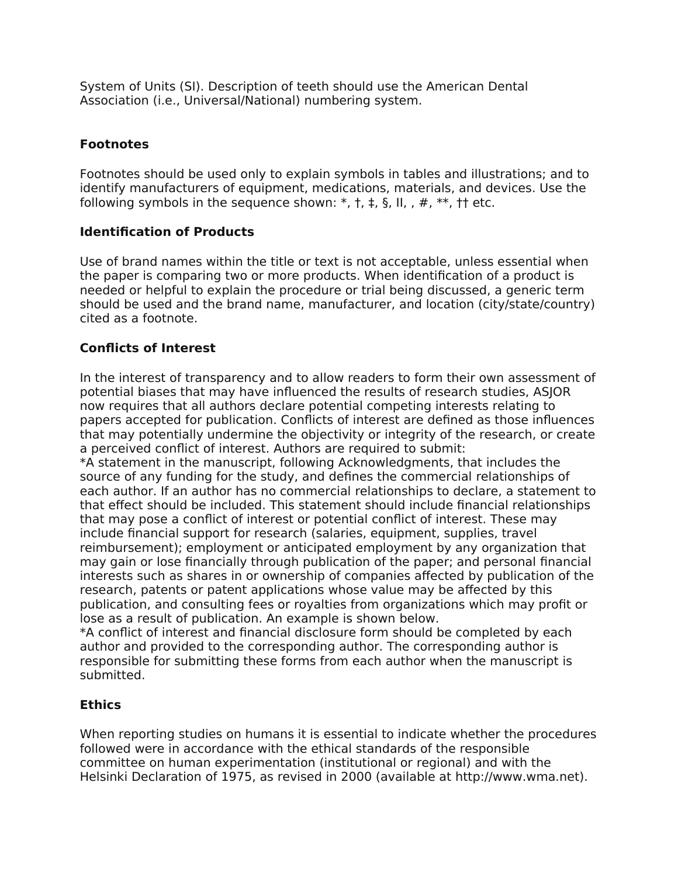System of Units (SI). Description of teeth should use the American Dental Association (i.e., Universal/National) numbering system.

# **Footnotes**

Footnotes should be used only to explain symbols in tables and illustrations; and to identify manufacturers of equipment, medications, materials, and devices. Use the following symbols in the sequence shown:  $*, +, +, \S$ , II, ,  $#$ ,  $**$ ,  $**$ , thetc.

# **Identification of Products**

Use of brand names within the title or text is not acceptable, unless essential when the paper is comparing two or more products. When identification of a product is needed or helpful to explain the procedure or trial being discussed, a generic term should be used and the brand name, manufacturer, and location (city/state/country) cited as a footnote.

# **Conflicts of Interest**

In the interest of transparency and to allow readers to form their own assessment of potential biases that may have influenced the results of research studies, ASJOR now requires that all authors declare potential competing interests relating to papers accepted for publication. Conflicts of interest are defined as those influences that may potentially undermine the objectivity or integrity of the research, or create a perceived conflict of interest. Authors are required to submit:

\*A statement in the manuscript, following Acknowledgments, that includes the source of any funding for the study, and defines the commercial relationships of each author. If an author has no commercial relationships to declare, a statement to that effect should be included. This statement should include financial relationships that may pose a conflict of interest or potential conflict of interest. These may include financial support for research (salaries, equipment, supplies, travel reimbursement); employment or anticipated employment by any organization that may gain or lose financially through publication of the paper; and personal financial interests such as shares in or ownership of companies affected by publication of the research, patents or patent applications whose value may be affected by this publication, and consulting fees or royalties from organizations which may profit or lose as a result of publication. An example is shown below.

\*A conflict of interest and financial disclosure form should be completed by each author and provided to the corresponding author. The corresponding author is responsible for submitting these forms from each author when the manuscript is submitted.

# **Ethics**

When reporting studies on humans it is essential to indicate whether the procedures followed were in accordance with the ethical standards of the responsible committee on human experimentation (institutional or regional) and with the Helsinki Declaration of 1975, as revised in 2000 (available at http://www.wma.net).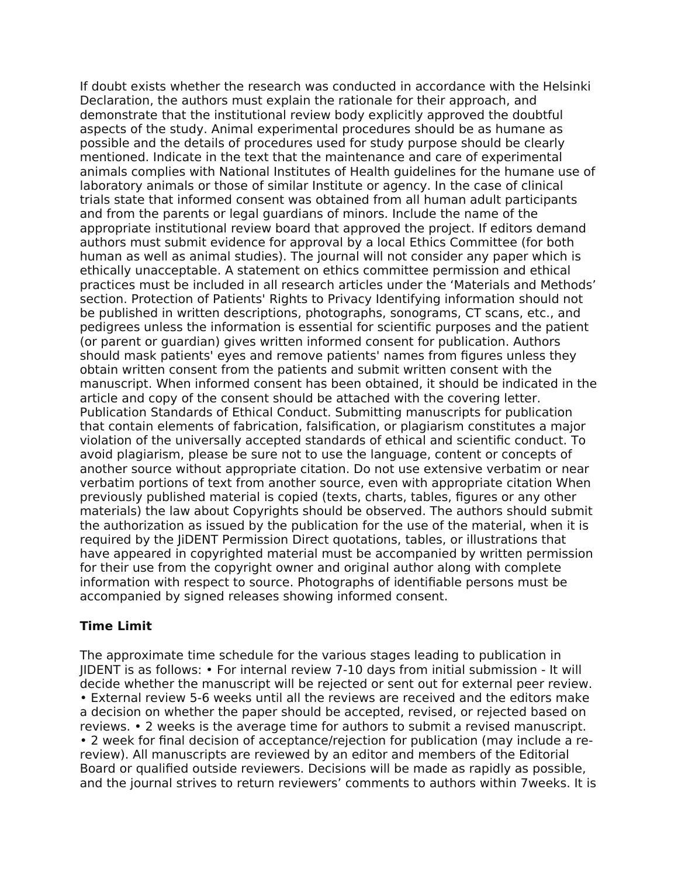If doubt exists whether the research was conducted in accordance with the Helsinki Declaration, the authors must explain the rationale for their approach, and demonstrate that the institutional review body explicitly approved the doubtful aspects of the study. Animal experimental procedures should be as humane as possible and the details of procedures used for study purpose should be clearly mentioned. Indicate in the text that the maintenance and care of experimental animals complies with National Institutes of Health guidelines for the humane use of laboratory animals or those of similar Institute or agency. In the case of clinical trials state that informed consent was obtained from all human adult participants and from the parents or legal guardians of minors. Include the name of the appropriate institutional review board that approved the project. If editors demand authors must submit evidence for approval by a local Ethics Committee (for both human as well as animal studies). The journal will not consider any paper which is ethically unacceptable. A statement on ethics committee permission and ethical practices must be included in all research articles under the 'Materials and Methods' section. Protection of Patients' Rights to Privacy Identifying information should not be published in written descriptions, photographs, sonograms, CT scans, etc., and pedigrees unless the information is essential for scientific purposes and the patient (or parent or guardian) gives written informed consent for publication. Authors should mask patients' eyes and remove patients' names from figures unless they obtain written consent from the patients and submit written consent with the manuscript. When informed consent has been obtained, it should be indicated in the article and copy of the consent should be attached with the covering letter. Publication Standards of Ethical Conduct. Submitting manuscripts for publication that contain elements of fabrication, falsification, or plagiarism constitutes a major violation of the universally accepted standards of ethical and scientific conduct. To avoid plagiarism, please be sure not to use the language, content or concepts of another source without appropriate citation. Do not use extensive verbatim or near verbatim portions of text from another source, even with appropriate citation When previously published material is copied (texts, charts, tables, figures or any other materials) the law about Copyrights should be observed. The authors should submit the authorization as issued by the publication for the use of the material, when it is required by the JiDENT Permission Direct quotations, tables, or illustrations that have appeared in copyrighted material must be accompanied by written permission for their use from the copyright owner and original author along with complete information with respect to source. Photographs of identifiable persons must be accompanied by signed releases showing informed consent.

## **Time Limit**

The approximate time schedule for the various stages leading to publication in JIDENT is as follows: • For internal review 7-10 days from initial submission - It will decide whether the manuscript will be rejected or sent out for external peer review. • External review 5-6 weeks until all the reviews are received and the editors make a decision on whether the paper should be accepted, revised, or rejected based on reviews. • 2 weeks is the average time for authors to submit a revised manuscript. • 2 week for final decision of acceptance/rejection for publication (may include a rereview). All manuscripts are reviewed by an editor and members of the Editorial Board or qualified outside reviewers. Decisions will be made as rapidly as possible, and the journal strives to return reviewers' comments to authors within 7weeks. It is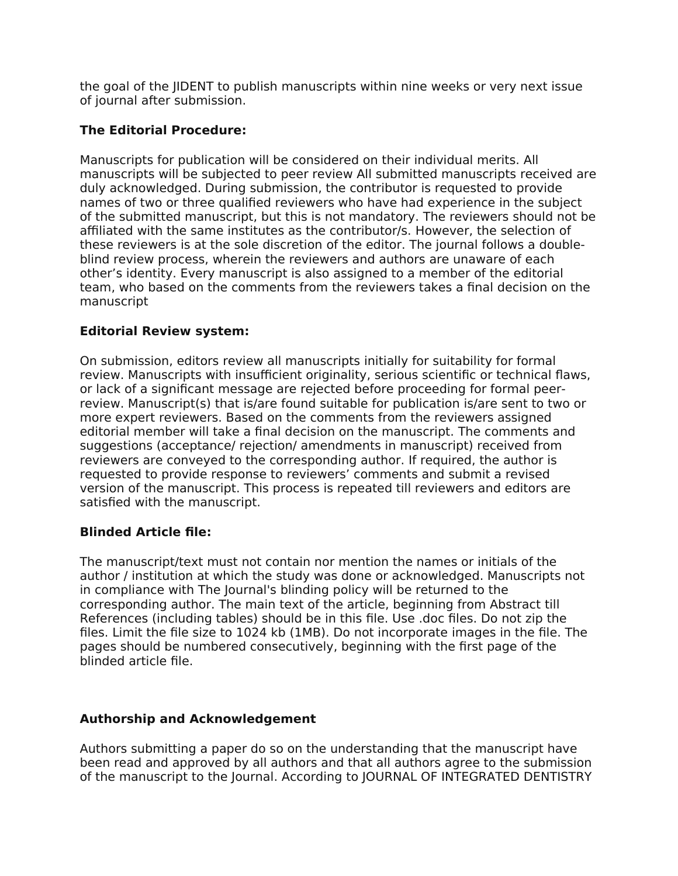the goal of the JIDENT to publish manuscripts within nine weeks or very next issue of journal after submission.

# **The Editorial Procedure:**

Manuscripts for publication will be considered on their individual merits. All manuscripts will be subjected to peer review All submitted manuscripts received are duly acknowledged. During submission, the contributor is requested to provide names of two or three qualified reviewers who have had experience in the subject of the submitted manuscript, but this is not mandatory. The reviewers should not be affiliated with the same institutes as the contributor/s. However, the selection of these reviewers is at the sole discretion of the editor. The journal follows a doubleblind review process, wherein the reviewers and authors are unaware of each other's identity. Every manuscript is also assigned to a member of the editorial team, who based on the comments from the reviewers takes a final decision on the manuscript

# **Editorial Review system:**

On submission, editors review all manuscripts initially for suitability for formal review. Manuscripts with insufficient originality, serious scientific or technical flaws, or lack of a significant message are rejected before proceeding for formal peerreview. Manuscript(s) that is/are found suitable for publication is/are sent to two or more expert reviewers. Based on the comments from the reviewers assigned editorial member will take a final decision on the manuscript. The comments and suggestions (acceptance/ rejection/ amendments in manuscript) received from reviewers are conveyed to the corresponding author. If required, the author is requested to provide response to reviewers' comments and submit a revised version of the manuscript. This process is repeated till reviewers and editors are satisfied with the manuscript.

# **Blinded Article file:**

The manuscript/text must not contain nor mention the names or initials of the author / institution at which the study was done or acknowledged. Manuscripts not in compliance with The Journal's blinding policy will be returned to the corresponding author. The main text of the article, beginning from Abstract till References (including tables) should be in this file. Use .doc files. Do not zip the files. Limit the file size to 1024 kb (1MB). Do not incorporate images in the file. The pages should be numbered consecutively, beginning with the first page of the blinded article file.

# **Authorship and Acknowledgement**

Authors submitting a paper do so on the understanding that the manuscript have been read and approved by all authors and that all authors agree to the submission of the manuscript to the Journal. According to JOURNAL OF INTEGRATED DENTISTRY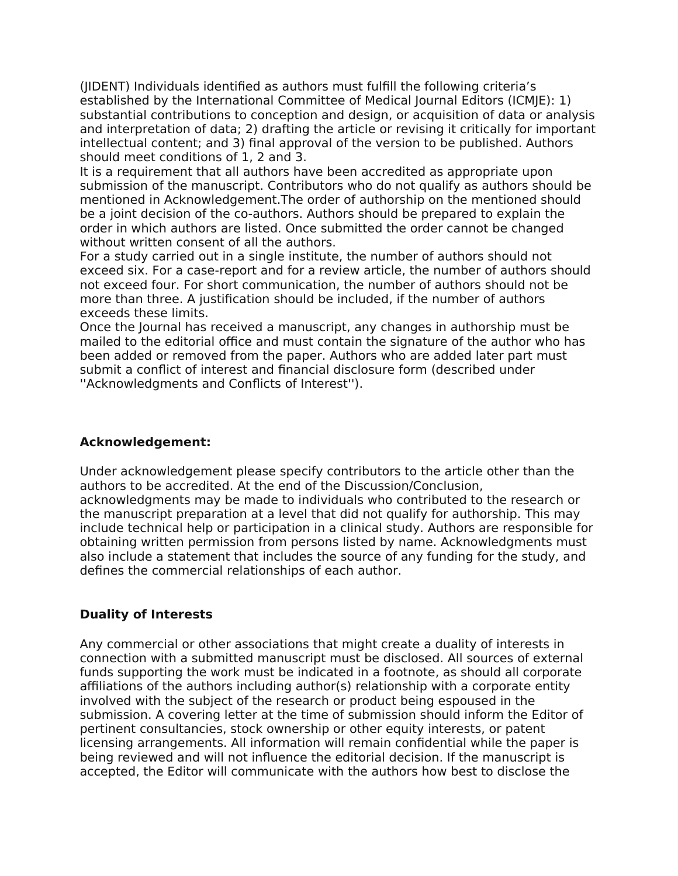(JIDENT) Individuals identified as authors must fulfill the following criteria's established by the International Committee of Medical Journal Editors (ICMJE): 1) substantial contributions to conception and design, or acquisition of data or analysis and interpretation of data; 2) drafting the article or revising it critically for important intellectual content; and 3) final approval of the version to be published. Authors should meet conditions of 1, 2 and 3.

It is a requirement that all authors have been accredited as appropriate upon submission of the manuscript. Contributors who do not qualify as authors should be mentioned in Acknowledgement.The order of authorship on the mentioned should be a joint decision of the co-authors. Authors should be prepared to explain the order in which authors are listed. Once submitted the order cannot be changed without written consent of all the authors.

For a study carried out in a single institute, the number of authors should not exceed six. For a case-report and for a review article, the number of authors should not exceed four. For short communication, the number of authors should not be more than three. A justification should be included, if the number of authors exceeds these limits.

Once the Journal has received a manuscript, any changes in authorship must be mailed to the editorial office and must contain the signature of the author who has been added or removed from the paper. Authors who are added later part must submit a conflict of interest and financial disclosure form (described under ''Acknowledgments and Conflicts of Interest'').

## **Acknowledgement:**

Under acknowledgement please specify contributors to the article other than the authors to be accredited. At the end of the Discussion/Conclusion, acknowledgments may be made to individuals who contributed to the research or the manuscript preparation at a level that did not qualify for authorship. This may include technical help or participation in a clinical study. Authors are responsible for obtaining written permission from persons listed by name. Acknowledgments must also include a statement that includes the source of any funding for the study, and defines the commercial relationships of each author.

# **Duality of Interests**

Any commercial or other associations that might create a duality of interests in connection with a submitted manuscript must be disclosed. All sources of external funds supporting the work must be indicated in a footnote, as should all corporate affiliations of the authors including author(s) relationship with a corporate entity involved with the subject of the research or product being espoused in the submission. A covering letter at the time of submission should inform the Editor of pertinent consultancies, stock ownership or other equity interests, or patent licensing arrangements. All information will remain confidential while the paper is being reviewed and will not influence the editorial decision. If the manuscript is accepted, the Editor will communicate with the authors how best to disclose the